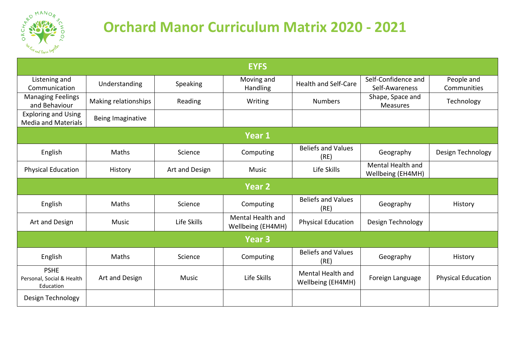

| <b>EYFS</b>                                              |                      |                |                                               |                                        |                                        |                           |  |
|----------------------------------------------------------|----------------------|----------------|-----------------------------------------------|----------------------------------------|----------------------------------------|---------------------------|--|
| Listening and<br>Communication                           | Understanding        | Speaking       | Moving and<br>Handling                        | <b>Health and Self-Care</b>            | Self-Confidence and<br>Self-Awareness  | People and<br>Communities |  |
| <b>Managing Feelings</b><br>and Behaviour                | Making relationships | Reading        | Writing                                       | <b>Numbers</b>                         | Shape, Space and<br><b>Measures</b>    | Technology                |  |
| <b>Exploring and Using</b><br><b>Media and Materials</b> | Being Imaginative    |                |                                               |                                        |                                        |                           |  |
| Year 1                                                   |                      |                |                                               |                                        |                                        |                           |  |
| English                                                  | Maths                | Science        | Computing                                     | <b>Beliefs and Values</b><br>(RE)      | Geography                              | Design Technology         |  |
| <b>Physical Education</b>                                | History              | Art and Design | Music                                         | Life Skills                            | Mental Health and<br>Wellbeing (EH4MH) |                           |  |
|                                                          |                      |                | <b>Year 2</b>                                 |                                        |                                        |                           |  |
| English                                                  | Maths                | Science        | Computing                                     | <b>Beliefs and Values</b><br>(RE)      | Geography                              | History                   |  |
| Art and Design                                           | <b>Music</b>         | Life Skills    | <b>Mental Health and</b><br>Wellbeing (EH4MH) | <b>Physical Education</b>              | Design Technology                      |                           |  |
| <b>Year 3</b>                                            |                      |                |                                               |                                        |                                        |                           |  |
| English                                                  | Maths                | Science        | Computing                                     | <b>Beliefs and Values</b><br>(RE)      | Geography                              | History                   |  |
| <b>PSHE</b><br>Personal, Social & Health<br>Education    | Art and Design       | <b>Music</b>   | Life Skills                                   | Mental Health and<br>Wellbeing (EH4MH) | Foreign Language                       | <b>Physical Education</b> |  |
| Design Technology                                        |                      |                |                                               |                                        |                                        |                           |  |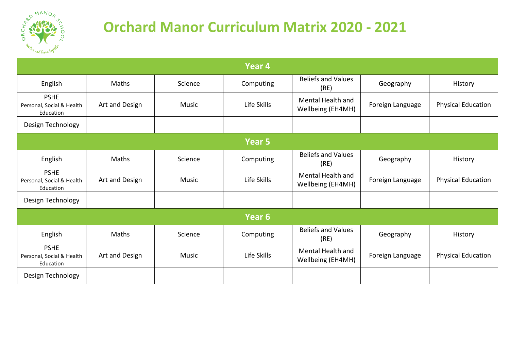

| Year 4                                                |                |              |                   |                                        |                  |                           |
|-------------------------------------------------------|----------------|--------------|-------------------|----------------------------------------|------------------|---------------------------|
| English                                               | Maths          | Science      | Computing         | <b>Beliefs and Values</b><br>(RE)      | Geography        | History                   |
| <b>PSHE</b><br>Personal, Social & Health<br>Education | Art and Design | <b>Music</b> | Life Skills       | Mental Health and<br>Wellbeing (EH4MH) | Foreign Language | <b>Physical Education</b> |
| Design Technology                                     |                |              |                   |                                        |                  |                           |
|                                                       |                |              | Year <sub>5</sub> |                                        |                  |                           |
| English                                               | Maths          | Science      | Computing         | <b>Beliefs and Values</b><br>(RE)      | Geography        | History                   |
| <b>PSHE</b><br>Personal, Social & Health<br>Education | Art and Design | Music        | Life Skills       | Mental Health and<br>Wellbeing (EH4MH) | Foreign Language | <b>Physical Education</b> |
| Design Technology                                     |                |              |                   |                                        |                  |                           |
| Year <sub>6</sub>                                     |                |              |                   |                                        |                  |                           |
| English                                               | Maths          | Science      | Computing         | <b>Beliefs and Values</b><br>(RE)      | Geography        | History                   |
| <b>PSHE</b><br>Personal, Social & Health<br>Education | Art and Design | Music        | Life Skills       | Mental Health and<br>Wellbeing (EH4MH) | Foreign Language | <b>Physical Education</b> |
| Design Technology                                     |                |              |                   |                                        |                  |                           |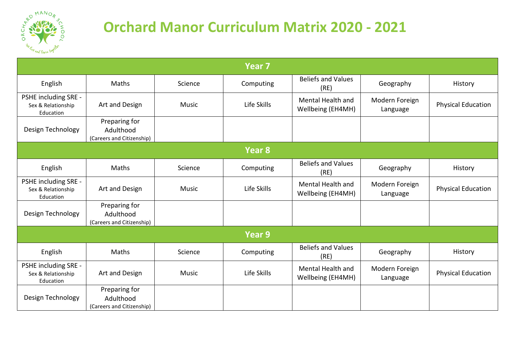

| Year <sub>7</sub>                                       |                                                         |              |             |                                        |                            |                           |
|---------------------------------------------------------|---------------------------------------------------------|--------------|-------------|----------------------------------------|----------------------------|---------------------------|
| English                                                 | Maths                                                   | Science      | Computing   | <b>Beliefs and Values</b><br>(RE)      | Geography                  | History                   |
| PSHE including SRE -<br>Sex & Relationship<br>Education | Art and Design                                          | <b>Music</b> | Life Skills | Mental Health and<br>Wellbeing (EH4MH) | Modern Foreign<br>Language | <b>Physical Education</b> |
| Design Technology                                       | Preparing for<br>Adulthood<br>(Careers and Citizenship) |              |             |                                        |                            |                           |
|                                                         |                                                         |              | Year 8      |                                        |                            |                           |
| English                                                 | Maths                                                   | Science      | Computing   | <b>Beliefs and Values</b><br>(RE)      | Geography                  | History                   |
| PSHE including SRE -<br>Sex & Relationship<br>Education | Art and Design                                          | <b>Music</b> | Life Skills | Mental Health and<br>Wellbeing (EH4MH) | Modern Foreign<br>Language | <b>Physical Education</b> |
| Design Technology                                       | Preparing for<br>Adulthood<br>(Careers and Citizenship) |              |             |                                        |                            |                           |
| Year 9                                                  |                                                         |              |             |                                        |                            |                           |
| English                                                 | Maths                                                   | Science      | Computing   | <b>Beliefs and Values</b><br>(RE)      | Geography                  | History                   |
| PSHE including SRE -<br>Sex & Relationship<br>Education | Art and Design                                          | <b>Music</b> | Life Skills | Mental Health and<br>Wellbeing (EH4MH) | Modern Foreign<br>Language | <b>Physical Education</b> |
| Design Technology                                       | Preparing for<br>Adulthood<br>(Careers and Citizenship) |              |             |                                        |                            |                           |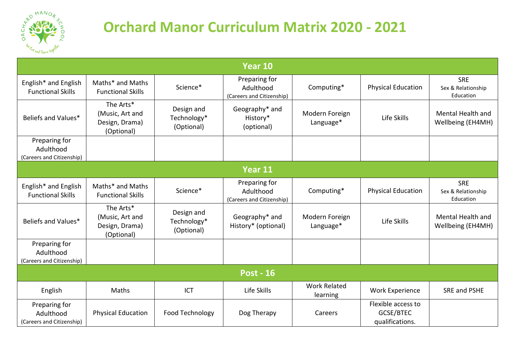

|                                                         |                                                              |                                         | Year 10                                                 |                                 |                                                    |                                               |  |
|---------------------------------------------------------|--------------------------------------------------------------|-----------------------------------------|---------------------------------------------------------|---------------------------------|----------------------------------------------------|-----------------------------------------------|--|
| English* and English<br><b>Functional Skills</b>        | Maths* and Maths<br><b>Functional Skills</b>                 | Science*                                | Preparing for<br>Adulthood<br>(Careers and Citizenship) | Computing*                      | <b>Physical Education</b>                          | <b>SRE</b><br>Sex & Relationship<br>Education |  |
| Beliefs and Values*                                     | The Arts*<br>(Music, Art and<br>Design, Drama)<br>(Optional) | Design and<br>Technology*<br>(Optional) | Geography* and<br>History*<br>(optional)                | Modern Foreign<br>Language*     | Life Skills                                        | Mental Health and<br>Wellbeing (EH4MH)        |  |
| Preparing for<br>Adulthood<br>(Careers and Citizenship) |                                                              |                                         |                                                         |                                 |                                                    |                                               |  |
| Year 11                                                 |                                                              |                                         |                                                         |                                 |                                                    |                                               |  |
| English* and English<br><b>Functional Skills</b>        | Maths* and Maths<br><b>Functional Skills</b>                 | Science*                                | Preparing for<br>Adulthood<br>(Careers and Citizenship) | Computing*                      | <b>Physical Education</b>                          | <b>SRE</b><br>Sex & Relationship<br>Education |  |
| Beliefs and Values*                                     | The Arts*<br>(Music, Art and<br>Design, Drama)<br>(Optional) | Design and<br>Technology*<br>(Optional) | Geography* and<br>History* (optional)                   | Modern Foreign<br>Language*     | Life Skills                                        | Mental Health and<br>Wellbeing (EH4MH)        |  |
| Preparing for<br>Adulthood<br>(Careers and Citizenship) |                                                              |                                         |                                                         |                                 |                                                    |                                               |  |
| <b>Post - 16</b>                                        |                                                              |                                         |                                                         |                                 |                                                    |                                               |  |
| English                                                 | Maths                                                        | ICT                                     | Life Skills                                             | <b>Work Related</b><br>learning | <b>Work Experience</b>                             | SRE and PSHE                                  |  |
| Preparing for<br>Adulthood<br>(Careers and Citizenship) | <b>Physical Education</b>                                    | Food Technology                         | Dog Therapy                                             | Careers                         | Flexible access to<br>GCSE/BTEC<br>qualifications. |                                               |  |